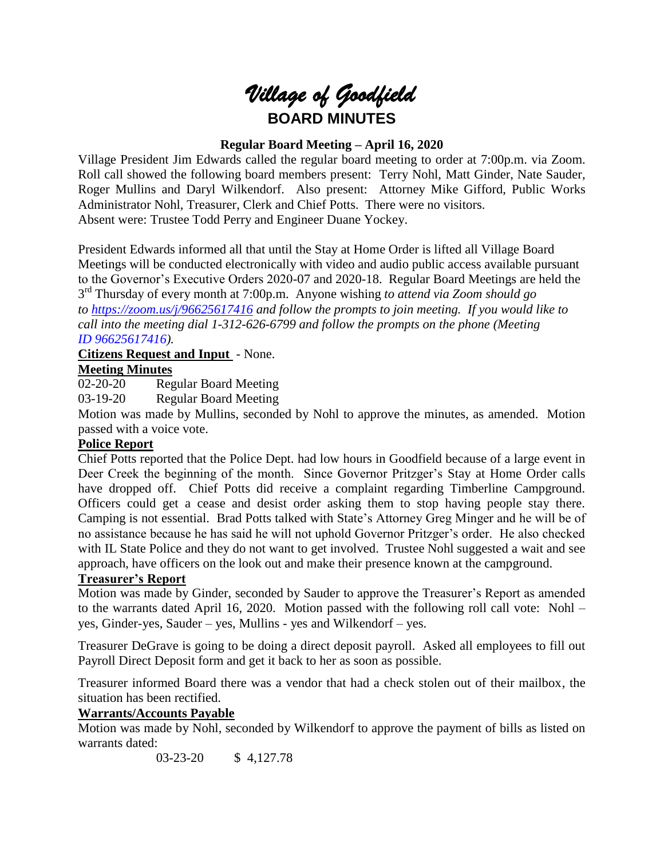

#### **Regular Board Meeting – April 16, 2020**

Village President Jim Edwards called the regular board meeting to order at 7:00p.m. via Zoom. Roll call showed the following board members present: Terry Nohl, Matt Ginder, Nate Sauder, Roger Mullins and Daryl Wilkendorf. Also present: Attorney Mike Gifford, Public Works Administrator Nohl, Treasurer, Clerk and Chief Potts. There were no visitors. Absent were: Trustee Todd Perry and Engineer Duane Yockey.

President Edwards informed all that until the Stay at Home Order is lifted all Village Board Meetings will be conducted electronically with video and audio public access available pursuant to the Governor's Executive Orders 2020-07 and 2020-18. Regular Board Meetings are held the 3 rd Thursday of every month at 7:00p.m. Anyone wishing *to attend via Zoom should go to <https://zoom.us/j/96625617416> and follow the prompts to join meeting. If you would like to call into the meeting dial 1-312-626-6799 and follow the prompts on the phone (Meeting ID 96625617416).*

# **Citizens Request and Input** - None.

# **Meeting Minutes**

02-20-20 Regular Board Meeting

03-19-20 Regular Board Meeting

Motion was made by Mullins, seconded by Nohl to approve the minutes, as amended. Motion passed with a voice vote.

#### **Police Report**

Chief Potts reported that the Police Dept. had low hours in Goodfield because of a large event in Deer Creek the beginning of the month. Since Governor Pritzger's Stay at Home Order calls have dropped off. Chief Potts did receive a complaint regarding Timberline Campground. Officers could get a cease and desist order asking them to stop having people stay there. Camping is not essential. Brad Potts talked with State's Attorney Greg Minger and he will be of no assistance because he has said he will not uphold Governor Pritzger's order. He also checked with IL State Police and they do not want to get involved. Trustee Nohl suggested a wait and see approach, have officers on the look out and make their presence known at the campground.

#### **Treasurer's Report**

Motion was made by Ginder, seconded by Sauder to approve the Treasurer's Report as amended to the warrants dated April 16, 2020. Motion passed with the following roll call vote: Nohl – yes, Ginder-yes, Sauder – yes, Mullins - yes and Wilkendorf – yes.

Treasurer DeGrave is going to be doing a direct deposit payroll. Asked all employees to fill out Payroll Direct Deposit form and get it back to her as soon as possible.

Treasurer informed Board there was a vendor that had a check stolen out of their mailbox, the situation has been rectified.

#### **Warrants/Accounts Payable**

Motion was made by Nohl, seconded by Wilkendorf to approve the payment of bills as listed on warrants dated:

03-23-20 \$ 4,127.78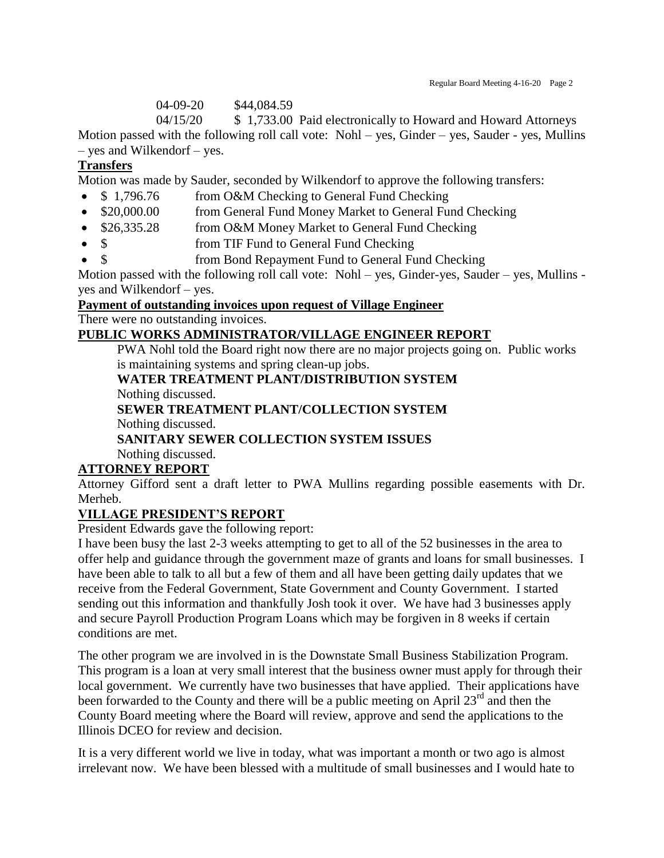04-09-20 \$44,084.59

04/15/20 \$ 1,733.00 Paid electronically to Howard and Howard Attorneys Motion passed with the following roll call vote: Nohl – yes, Ginder – yes, Sauder - yes, Mullins – yes and Wilkendorf – yes.

#### **Transfers**

Motion was made by Sauder, seconded by Wilkendorf to approve the following transfers:

- \$1,796.76 from O&M Checking to General Fund Checking
- \$20,000.00 from General Fund Money Market to General Fund Checking
- \$26,335.28 from O&M Money Market to General Fund Checking
- \$ from TIF Fund to General Fund Checking
- \$ from Bond Repayment Fund to General Fund Checking

Motion passed with the following roll call vote: Nohl – yes, Ginder-yes, Sauder – yes, Mullins yes and Wilkendorf – yes.

# **Payment of outstanding invoices upon request of Village Engineer**

There were no outstanding invoices.

#### **PUBLIC WORKS ADMINISTRATOR/VILLAGE ENGINEER REPORT**

PWA Nohl told the Board right now there are no major projects going on. Public works is maintaining systems and spring clean-up jobs.

#### **WATER TREATMENT PLANT/DISTRIBUTION SYSTEM** Nothing discussed.

#### **SEWER TREATMENT PLANT/COLLECTION SYSTEM** Nothing discussed.

## **SANITARY SEWER COLLECTION SYSTEM ISSUES**

Nothing discussed.

## **ATTORNEY REPORT**

Attorney Gifford sent a draft letter to PWA Mullins regarding possible easements with Dr. Merheb.

#### **VILLAGE PRESIDENT'S REPORT**

President Edwards gave the following report:

I have been busy the last 2-3 weeks attempting to get to all of the 52 businesses in the area to offer help and guidance through the government maze of grants and loans for small businesses. I have been able to talk to all but a few of them and all have been getting daily updates that we receive from the Federal Government, State Government and County Government. I started sending out this information and thankfully Josh took it over. We have had 3 businesses apply and secure Payroll Production Program Loans which may be forgiven in 8 weeks if certain conditions are met.

The other program we are involved in is the Downstate Small Business Stabilization Program. This program is a loan at very small interest that the business owner must apply for through their local government. We currently have two businesses that have applied. Their applications have been forwarded to the County and there will be a public meeting on April 23<sup>rd</sup> and then the County Board meeting where the Board will review, approve and send the applications to the Illinois DCEO for review and decision.

It is a very different world we live in today, what was important a month or two ago is almost irrelevant now. We have been blessed with a multitude of small businesses and I would hate to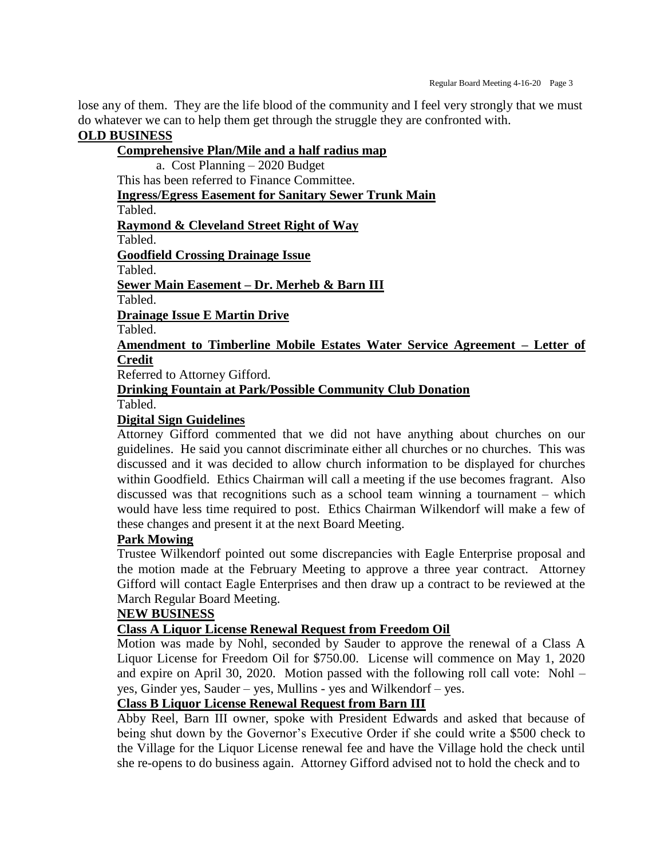lose any of them. They are the life blood of the community and I feel very strongly that we must do whatever we can to help them get through the struggle they are confronted with.

#### **OLD BUSINESS**

#### **Comprehensive Plan/Mile and a half radius map** a. Cost Planning – 2020 Budget This has been referred to Finance Committee. **Ingress/Egress Easement for Sanitary Sewer Trunk Main** Tabled. **Raymond & Cleveland Street Right of Way** Tabled. **Goodfield Crossing Drainage Issue** Tabled. **Sewer Main Easement – Dr. Merheb & Barn III** Tabled. **Drainage Issue E Martin Drive** Tabled. **Amendment to Timberline Mobile Estates Water Service Agreement – Letter of Credit** Referred to Attorney Gifford. **Drinking Fountain at Park/Possible Community Club Donation**

Tabled.

#### **Digital Sign Guidelines**

Attorney Gifford commented that we did not have anything about churches on our guidelines. He said you cannot discriminate either all churches or no churches. This was discussed and it was decided to allow church information to be displayed for churches within Goodfield. Ethics Chairman will call a meeting if the use becomes fragrant. Also discussed was that recognitions such as a school team winning a tournament – which would have less time required to post. Ethics Chairman Wilkendorf will make a few of these changes and present it at the next Board Meeting.

#### **Park Mowing**

Trustee Wilkendorf pointed out some discrepancies with Eagle Enterprise proposal and the motion made at the February Meeting to approve a three year contract. Attorney Gifford will contact Eagle Enterprises and then draw up a contract to be reviewed at the March Regular Board Meeting.

#### **NEW BUSINESS**

#### **Class A Liquor License Renewal Request from Freedom Oil**

Motion was made by Nohl, seconded by Sauder to approve the renewal of a Class A Liquor License for Freedom Oil for \$750.00. License will commence on May 1, 2020 and expire on April 30, 2020. Motion passed with the following roll call vote: Nohl – yes, Ginder yes, Sauder – yes, Mullins - yes and Wilkendorf – yes.

#### **Class B Liquor License Renewal Request from Barn III**

Abby Reel, Barn III owner, spoke with President Edwards and asked that because of being shut down by the Governor's Executive Order if she could write a \$500 check to the Village for the Liquor License renewal fee and have the Village hold the check until she re-opens to do business again. Attorney Gifford advised not to hold the check and to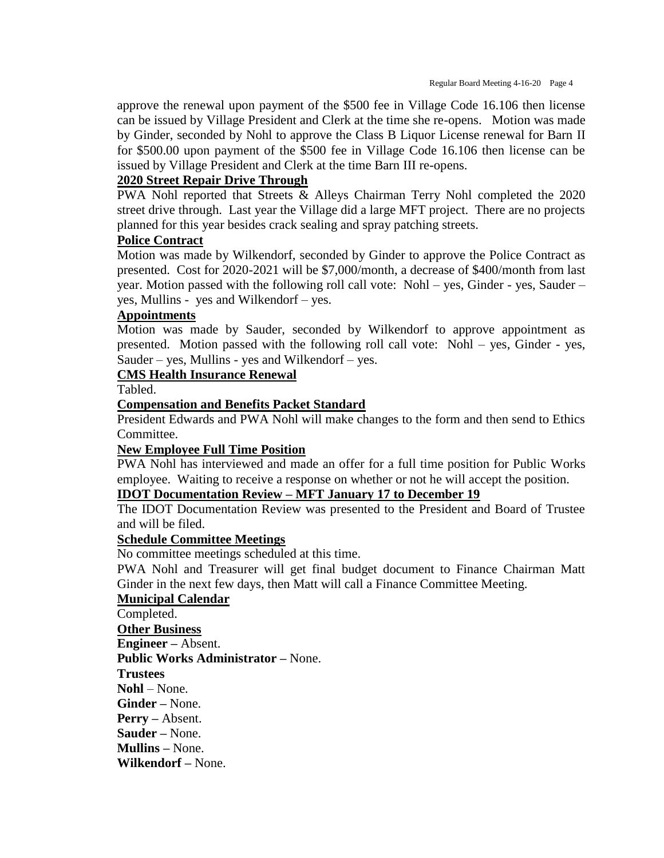approve the renewal upon payment of the \$500 fee in Village Code 16.106 then license can be issued by Village President and Clerk at the time she re-opens. Motion was made by Ginder, seconded by Nohl to approve the Class B Liquor License renewal for Barn II for \$500.00 upon payment of the \$500 fee in Village Code 16.106 then license can be issued by Village President and Clerk at the time Barn III re-opens.

#### **2020 Street Repair Drive Through**

PWA Nohl reported that Streets & Alleys Chairman Terry Nohl completed the 2020 street drive through. Last year the Village did a large MFT project. There are no projects planned for this year besides crack sealing and spray patching streets.

#### **Police Contract**

Motion was made by Wilkendorf, seconded by Ginder to approve the Police Contract as presented. Cost for 2020-2021 will be \$7,000/month, a decrease of \$400/month from last year. Motion passed with the following roll call vote: Nohl – yes, Ginder - yes, Sauder – yes, Mullins - yes and Wilkendorf – yes.

#### **Appointments**

Motion was made by Sauder, seconded by Wilkendorf to approve appointment as presented. Motion passed with the following roll call vote: Nohl – yes, Ginder - yes, Sauder – yes, Mullins - yes and Wilkendorf – yes.

#### **CMS Health Insurance Renewal**

Tabled.

#### **Compensation and Benefits Packet Standard**

President Edwards and PWA Nohl will make changes to the form and then send to Ethics Committee.

#### **New Employee Full Time Position**

PWA Nohl has interviewed and made an offer for a full time position for Public Works employee. Waiting to receive a response on whether or not he will accept the position.

#### **IDOT Documentation Review – MFT January 17 to December 19**

The IDOT Documentation Review was presented to the President and Board of Trustee and will be filed.

#### **Schedule Committee Meetings**

No committee meetings scheduled at this time.

PWA Nohl and Treasurer will get final budget document to Finance Chairman Matt Ginder in the next few days, then Matt will call a Finance Committee Meeting.

#### **Municipal Calendar**

Completed. **Other Business Engineer –** Absent. **Public Works Administrator –** None. **Trustees Nohl** – None. **Ginder –** None. **Perry –** Absent. **Sauder –** None. **Mullins –** None. **Wilkendorf –** None.